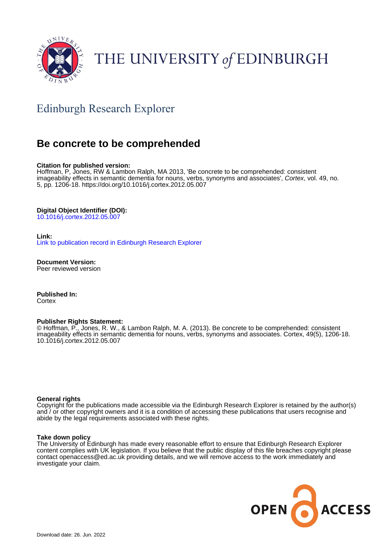

# THE UNIVERSITY of EDINBURGH

# Edinburgh Research Explorer

# **Be concrete to be comprehended**

#### **Citation for published version:**

Hoffman, P, Jones, RW & Lambon Ralph, MA 2013, 'Be concrete to be comprehended: consistent imageability effects in semantic dementia for nouns, verbs, synonyms and associates', Cortex, vol. 49, no. 5, pp. 1206-18.<https://doi.org/10.1016/j.cortex.2012.05.007>

#### **Digital Object Identifier (DOI):**

[10.1016/j.cortex.2012.05.007](https://doi.org/10.1016/j.cortex.2012.05.007)

#### **Link:**

[Link to publication record in Edinburgh Research Explorer](https://www.research.ed.ac.uk/en/publications/b04a759d-1cc5-432d-8d1b-fb10b8b4525e)

**Document Version:** Peer reviewed version

**Published In: Cortex** 

#### **Publisher Rights Statement:**

© Hoffman, P., Jones, R. W., & Lambon Ralph, M. A. (2013). Be concrete to be comprehended: consistent imageability effects in semantic dementia for nouns, verbs, synonyms and associates. Cortex, 49(5), 1206-18. 10.1016/j.cortex.2012.05.007

#### **General rights**

Copyright for the publications made accessible via the Edinburgh Research Explorer is retained by the author(s) and / or other copyright owners and it is a condition of accessing these publications that users recognise and abide by the legal requirements associated with these rights.

#### **Take down policy**

The University of Edinburgh has made every reasonable effort to ensure that Edinburgh Research Explorer content complies with UK legislation. If you believe that the public display of this file breaches copyright please contact openaccess@ed.ac.uk providing details, and we will remove access to the work immediately and investigate your claim.

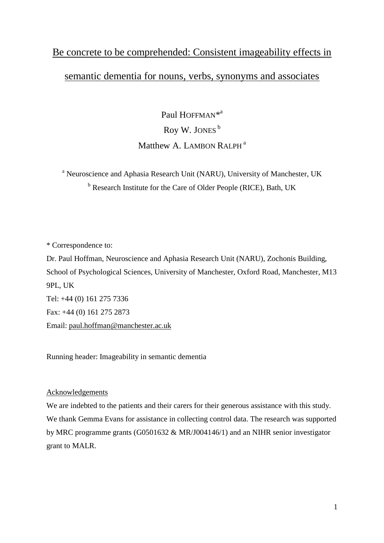# Be concrete to be comprehended: Consistent imageability effects in semantic dementia for nouns, verbs, synonyms and associates

Paul HOFFMAN<sup>\*a</sup> Roy W. JONES<sup>b</sup> Matthew A. LAMBON RALPH<sup>a</sup>

<sup>a</sup> Neuroscience and Aphasia Research Unit (NARU), University of Manchester, UK <sup>b</sup> Research Institute for the Care of Older People (RICE), Bath, UK

\* Correspondence to:

Dr. Paul Hoffman, Neuroscience and Aphasia Research Unit (NARU), Zochonis Building, School of Psychological Sciences, University of Manchester, Oxford Road, Manchester, M13 9PL, UK Tel: +44 (0) 161 275 7336 Fax: +44 (0) 161 275 2873 Email: [paul.hoffman@manchester.ac.uk](mailto:paul.hoffman@manchester.ac.uk)

Running header: Imageability in semantic dementia

#### Acknowledgements

We are indebted to the patients and their carers for their generous assistance with this study. We thank Gemma Evans for assistance in collecting control data. The research was supported by MRC programme grants (G0501632 & MR/J004146/1) and an NIHR senior investigator grant to MALR.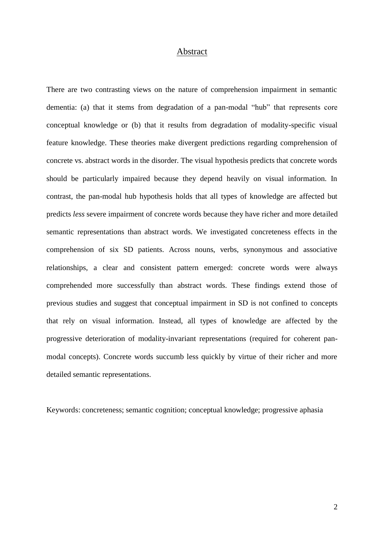#### Abstract

There are two contrasting views on the nature of comprehension impairment in semantic dementia: (a) that it stems from degradation of a pan-modal "hub" that represents core conceptual knowledge or (b) that it results from degradation of modality-specific visual feature knowledge. These theories make divergent predictions regarding comprehension of concrete vs. abstract words in the disorder. The visual hypothesis predicts that concrete words should be particularly impaired because they depend heavily on visual information. In contrast, the pan-modal hub hypothesis holds that all types of knowledge are affected but predicts *less* severe impairment of concrete words because they have richer and more detailed semantic representations than abstract words. We investigated concreteness effects in the comprehension of six SD patients. Across nouns, verbs, synonymous and associative relationships, a clear and consistent pattern emerged: concrete words were always comprehended more successfully than abstract words. These findings extend those of previous studies and suggest that conceptual impairment in SD is not confined to concepts that rely on visual information. Instead, all types of knowledge are affected by the progressive deterioration of modality-invariant representations (required for coherent panmodal concepts). Concrete words succumb less quickly by virtue of their richer and more detailed semantic representations.

Keywords: concreteness; semantic cognition; conceptual knowledge; progressive aphasia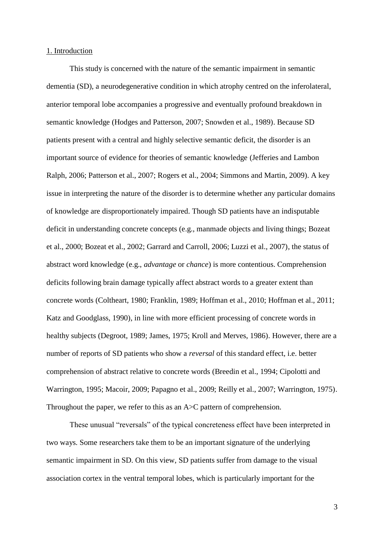#### 1. Introduction

This study is concerned with the nature of the semantic impairment in semantic dementia (SD), a neurodegenerative condition in which atrophy centred on the inferolateral, anterior temporal lobe accompanies a progressive and eventually profound breakdown in semantic knowledge (Hodges and Patterson, 2007; Snowden et al., 1989). Because SD patients present with a central and highly selective semantic deficit, the disorder is an important source of evidence for theories of semantic knowledge (Jefferies and Lambon Ralph, 2006; Patterson et al., 2007; Rogers et al., 2004; Simmons and Martin, 2009). A key issue in interpreting the nature of the disorder is to determine whether any particular domains of knowledge are disproportionately impaired. Though SD patients have an indisputable deficit in understanding concrete concepts (e.g., manmade objects and living things; Bozeat et al., 2000; Bozeat et al., 2002; Garrard and Carroll, 2006; Luzzi et al., 2007), the status of abstract word knowledge (e.g., *advantage* or *chance*) is more contentious. Comprehension deficits following brain damage typically affect abstract words to a greater extent than concrete words (Coltheart, 1980; Franklin, 1989; Hoffman et al., 2010; Hoffman et al., 2011; Katz and Goodglass, 1990), in line with more efficient processing of concrete words in healthy subjects (Degroot, 1989; James, 1975; Kroll and Merves, 1986). However, there are a number of reports of SD patients who show a *reversal* of this standard effect, i.e. better comprehension of abstract relative to concrete words (Breedin et al., 1994; Cipolotti and Warrington, 1995; Macoir, 2009; Papagno et al., 2009; Reilly et al., 2007; Warrington, 1975). Throughout the paper, we refer to this as an A $\gt$ C pattern of comprehension.

These unusual "reversals" of the typical concreteness effect have been interpreted in two ways. Some researchers take them to be an important signature of the underlying semantic impairment in SD. On this view, SD patients suffer from damage to the visual association cortex in the ventral temporal lobes, which is particularly important for the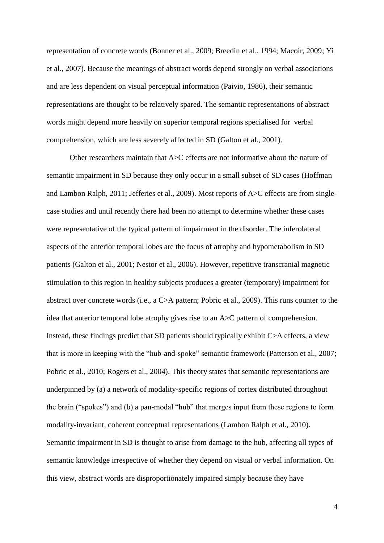representation of concrete words (Bonner et al., 2009; Breedin et al., 1994; Macoir, 2009; Yi et al., 2007). Because the meanings of abstract words depend strongly on verbal associations and are less dependent on visual perceptual information (Paivio, 1986), their semantic representations are thought to be relatively spared. The semantic representations of abstract words might depend more heavily on superior temporal regions specialised for verbal comprehension, which are less severely affected in SD (Galton et al., 2001).

Other researchers maintain that A>C effects are not informative about the nature of semantic impairment in SD because they only occur in a small subset of SD cases (Hoffman and Lambon Ralph, 2011; Jefferies et al., 2009). Most reports of A>C effects are from singlecase studies and until recently there had been no attempt to determine whether these cases were representative of the typical pattern of impairment in the disorder. The inferolateral aspects of the anterior temporal lobes are the focus of atrophy and hypometabolism in SD patients (Galton et al., 2001; Nestor et al., 2006). However, repetitive transcranial magnetic stimulation to this region in healthy subjects produces a greater (temporary) impairment for abstract over concrete words (i.e., a C>A pattern; Pobric et al., 2009). This runs counter to the idea that anterior temporal lobe atrophy gives rise to an A>C pattern of comprehension. Instead, these findings predict that SD patients should typically exhibit C>A effects, a view that is more in keeping with the "hub-and-spoke" semantic framework (Patterson et al., 2007; Pobric et al., 2010; Rogers et al., 2004). This theory states that semantic representations are underpinned by (a) a network of modality-specific regions of cortex distributed throughout the brain ("spokes") and (b) a pan-modal "hub" that merges input from these regions to form modality-invariant, coherent conceptual representations (Lambon Ralph et al., 2010). Semantic impairment in SD is thought to arise from damage to the hub, affecting all types of semantic knowledge irrespective of whether they depend on visual or verbal information. On this view, abstract words are disproportionately impaired simply because they have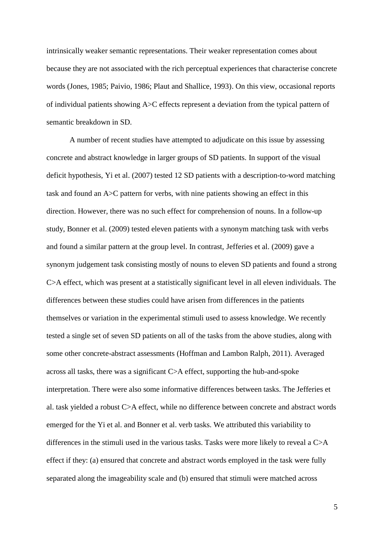intrinsically weaker semantic representations. Their weaker representation comes about because they are not associated with the rich perceptual experiences that characterise concrete words (Jones, 1985; Paivio, 1986; Plaut and Shallice, 1993). On this view, occasional reports of individual patients showing A>C effects represent a deviation from the typical pattern of semantic breakdown in SD.

A number of recent studies have attempted to adjudicate on this issue by assessing concrete and abstract knowledge in larger groups of SD patients. In support of the visual deficit hypothesis, Yi et al. (2007) tested 12 SD patients with a description-to-word matching task and found an A>C pattern for verbs, with nine patients showing an effect in this direction. However, there was no such effect for comprehension of nouns. In a follow-up study, Bonner et al. (2009) tested eleven patients with a synonym matching task with verbs and found a similar pattern at the group level. In contrast, Jefferies et al. (2009) gave a synonym judgement task consisting mostly of nouns to eleven SD patients and found a strong C>A effect, which was present at a statistically significant level in all eleven individuals. The differences between these studies could have arisen from differences in the patients themselves or variation in the experimental stimuli used to assess knowledge. We recently tested a single set of seven SD patients on all of the tasks from the above studies, along with some other concrete-abstract assessments (Hoffman and Lambon Ralph, 2011). Averaged across all tasks, there was a significant C>A effect, supporting the hub-and-spoke interpretation. There were also some informative differences between tasks. The Jefferies et al. task yielded a robust C>A effect, while no difference between concrete and abstract words emerged for the Yi et al. and Bonner et al. verb tasks. We attributed this variability to differences in the stimuli used in the various tasks. Tasks were more likely to reveal a C>A effect if they: (a) ensured that concrete and abstract words employed in the task were fully separated along the imageability scale and (b) ensured that stimuli were matched across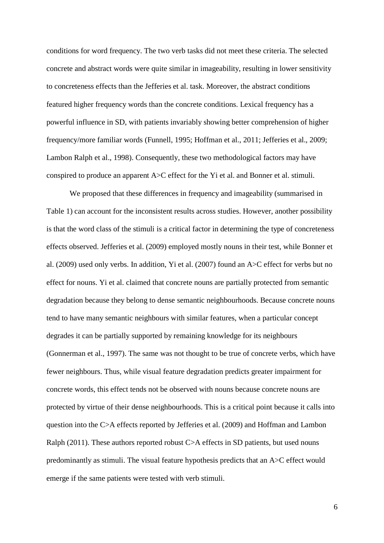conditions for word frequency. The two verb tasks did not meet these criteria. The selected concrete and abstract words were quite similar in imageability, resulting in lower sensitivity to concreteness effects than the Jefferies et al. task. Moreover, the abstract conditions featured higher frequency words than the concrete conditions. Lexical frequency has a powerful influence in SD, with patients invariably showing better comprehension of higher frequency/more familiar words (Funnell, 1995; Hoffman et al., 2011; Jefferies et al., 2009; Lambon Ralph et al., 1998). Consequently, these two methodological factors may have conspired to produce an apparent A>C effect for the Yi et al. and Bonner et al. stimuli.

We proposed that these differences in frequency and imageability (summarised in Table 1) can account for the inconsistent results across studies. However, another possibility is that the word class of the stimuli is a critical factor in determining the type of concreteness effects observed. Jefferies et al. (2009) employed mostly nouns in their test, while Bonner et al. (2009) used only verbs. In addition, Yi et al. (2007) found an A>C effect for verbs but no effect for nouns. Yi et al. claimed that concrete nouns are partially protected from semantic degradation because they belong to dense semantic neighbourhoods. Because concrete nouns tend to have many semantic neighbours with similar features, when a particular concept degrades it can be partially supported by remaining knowledge for its neighbours (Gonnerman et al., 1997). The same was not thought to be true of concrete verbs, which have fewer neighbours. Thus, while visual feature degradation predicts greater impairment for concrete words, this effect tends not be observed with nouns because concrete nouns are protected by virtue of their dense neighbourhoods. This is a critical point because it calls into question into the C>A effects reported by Jefferies et al. (2009) and Hoffman and Lambon Ralph (2011). These authors reported robust C>A effects in SD patients, but used nouns predominantly as stimuli. The visual feature hypothesis predicts that an A>C effect would emerge if the same patients were tested with verb stimuli.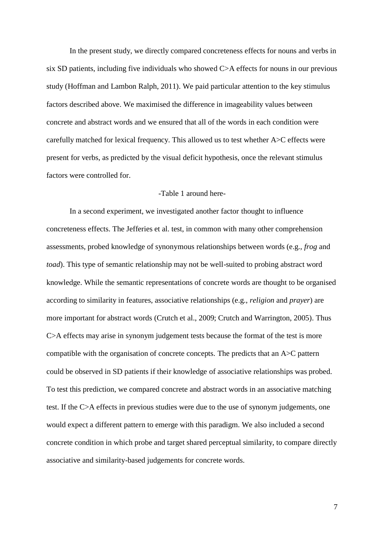In the present study, we directly compared concreteness effects for nouns and verbs in six SD patients, including five individuals who showed C>A effects for nouns in our previous study (Hoffman and Lambon Ralph, 2011). We paid particular attention to the key stimulus factors described above. We maximised the difference in imageability values between concrete and abstract words and we ensured that all of the words in each condition were carefully matched for lexical frequency. This allowed us to test whether A>C effects were present for verbs, as predicted by the visual deficit hypothesis, once the relevant stimulus factors were controlled for.

#### -Table 1 around here-

In a second experiment, we investigated another factor thought to influence concreteness effects. The Jefferies et al. test, in common with many other comprehension assessments, probed knowledge of synonymous relationships between words (e.g., *frog* and *toad*). This type of semantic relationship may not be well-suited to probing abstract word knowledge. While the semantic representations of concrete words are thought to be organised according to similarity in features, associative relationships (e.g., *religion* and *prayer*) are more important for abstract words (Crutch et al., 2009; Crutch and Warrington, 2005). Thus C>A effects may arise in synonym judgement tests because the format of the test is more compatible with the organisation of concrete concepts. The predicts that an A>C pattern could be observed in SD patients if their knowledge of associative relationships was probed. To test this prediction, we compared concrete and abstract words in an associative matching test. If the C>A effects in previous studies were due to the use of synonym judgements, one would expect a different pattern to emerge with this paradigm. We also included a second concrete condition in which probe and target shared perceptual similarity, to compare directly associative and similarity-based judgements for concrete words.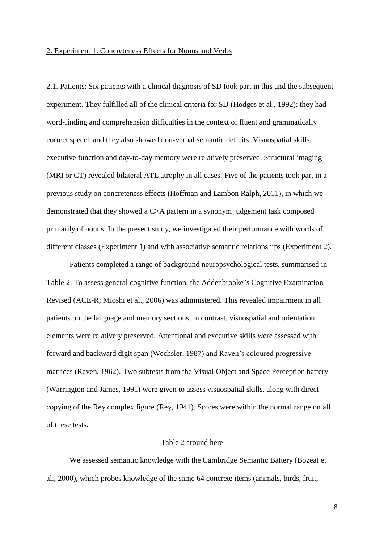#### 2. Experiment 1: Concreteness Effects for Nouns and Verbs

2.1. Patients: Six patients with a clinical diagnosis of SD took part in this and the subsequent experiment. They fulfilled all of the clinical criteria for SD (Hodges et al., 1992): they had word-finding and comprehension difficulties in the context of fluent and grammatically correct speech and they also showed non-verbal semantic deficits. Visuospatial skills, executive function and day-to-day memory were relatively preserved. Structural imaging (MRI or CT) revealed bilateral ATL atrophy in all cases. Five of the patients took part in a previous study on concreteness effects (Hoffman and Lambon Ralph, 2011), in which we demonstrated that they showed a C>A pattern in a synonym judgement task composed primarily of nouns. In the present study, we investigated their performance with words of different classes (Experiment 1) and with associative semantic relationships (Experiment 2).

Patients completed a range of background neuropsychological tests, summarised in Table 2. To assess general cognitive function, the Addenbrooke's Cognitive Examination – Revised (ACE-R; Mioshi et al., 2006) was administered. This revealed impairment in all patients on the language and memory sections; in contrast, visuospatial and orientation elements were relatively preserved. Attentional and executive skills were assessed with forward and backward digit span (Wechsler, 1987) and Raven's coloured progressive matrices (Raven, 1962). Two subtests from the Visual Object and Space Perception battery (Warrington and James, 1991) were given to assess visuospatial skills, along with direct copying of the Rey complex figure (Rey, 1941). Scores were within the normal range on all of these tests.

### -Table 2 around here-

We assessed semantic knowledge with the Cambridge Semantic Battery (Bozeat et al., 2000), which probes knowledge of the same 64 concrete items (animals, birds, fruit,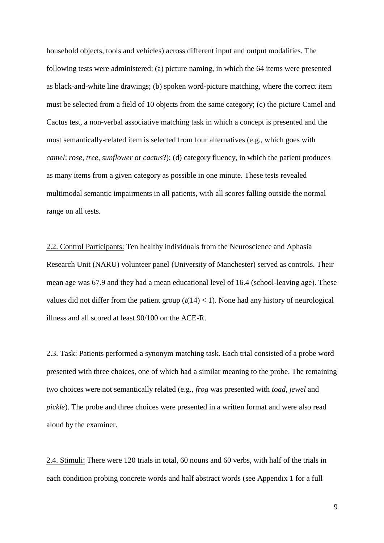household objects, tools and vehicles) across different input and output modalities. The following tests were administered: (a) picture naming, in which the 64 items were presented as black-and-white line drawings; (b) spoken word-picture matching, where the correct item must be selected from a field of 10 objects from the same category; (c) the picture Camel and Cactus test, a non-verbal associative matching task in which a concept is presented and the most semantically-related item is selected from four alternatives (e.g., which goes with *camel*: *rose, tree, sunflower* or *cactus*?); (d) category fluency, in which the patient produces as many items from a given category as possible in one minute. These tests revealed multimodal semantic impairments in all patients, with all scores falling outside the normal range on all tests.

2.2. Control Participants: Ten healthy individuals from the Neuroscience and Aphasia Research Unit (NARU) volunteer panel (University of Manchester) served as controls. Their mean age was 67.9 and they had a mean educational level of 16.4 (school-leaving age). These values did not differ from the patient group  $(t(14) < 1)$ . None had any history of neurological illness and all scored at least 90/100 on the ACE-R.

2.3. Task: Patients performed a synonym matching task. Each trial consisted of a probe word presented with three choices, one of which had a similar meaning to the probe. The remaining two choices were not semantically related (e.g., *frog* was presented with *toad*, *jewel* and *pickle*). The probe and three choices were presented in a written format and were also read aloud by the examiner.

2.4. Stimuli: There were 120 trials in total, 60 nouns and 60 verbs, with half of the trials in each condition probing concrete words and half abstract words (see Appendix 1 for a full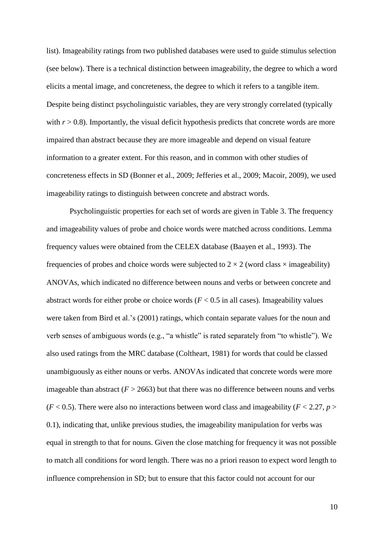list). Imageability ratings from two published databases were used to guide stimulus selection (see below). There is a technical distinction between imageability, the degree to which a word elicits a mental image, and concreteness, the degree to which it refers to a tangible item. Despite being distinct psycholinguistic variables, they are very strongly correlated (typically with  $r > 0.8$ ). Importantly, the visual deficit hypothesis predicts that concrete words are more impaired than abstract because they are more imageable and depend on visual feature information to a greater extent. For this reason, and in common with other studies of concreteness effects in SD (Bonner et al., 2009; Jefferies et al., 2009; Macoir, 2009), we used imageability ratings to distinguish between concrete and abstract words.

Psycholinguistic properties for each set of words are given in Table 3. The frequency and imageability values of probe and choice words were matched across conditions. Lemma frequency values were obtained from the CELEX database (Baayen et al., 1993). The frequencies of probes and choice words were subjected to  $2 \times 2$  (word class  $\times$  imageability) ANOVAs, which indicated no difference between nouns and verbs or between concrete and abstract words for either probe or choice words  $(F < 0.5$  in all cases). Imageability values were taken from Bird et al.'s (2001) ratings, which contain separate values for the noun and verb senses of ambiguous words (e.g., "a whistle" is rated separately from "to whistle"). We also used ratings from the MRC database (Coltheart, 1981) for words that could be classed unambiguously as either nouns or verbs. ANOVAs indicated that concrete words were more imageable than abstract  $(F > 2663)$  but that there was no difference between nouns and verbs  $(F < 0.5)$ . There were also no interactions between word class and imageability ( $F < 2.27$ ,  $p > 0$ 0.1), indicating that, unlike previous studies, the imageability manipulation for verbs was equal in strength to that for nouns. Given the close matching for frequency it was not possible to match all conditions for word length. There was no a priori reason to expect word length to influence comprehension in SD; but to ensure that this factor could not account for our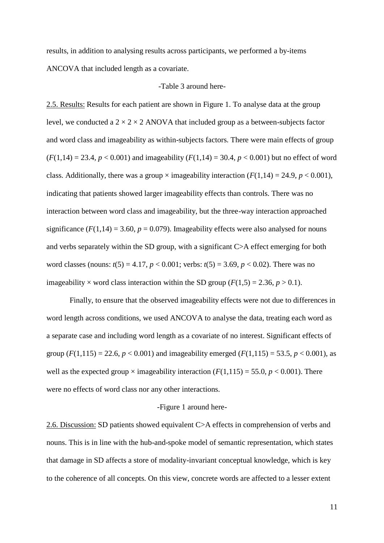results, in addition to analysing results across participants, we performed a by-items ANCOVA that included length as a covariate.

#### -Table 3 around here-

2.5. Results: Results for each patient are shown in Figure 1. To analyse data at the group level, we conducted a  $2 \times 2 \times 2$  ANOVA that included group as a between-subjects factor and word class and imageability as within-subjects factors. There were main effects of group  $(F(1,14) = 23.4, p < 0.001)$  and imageability  $(F(1,14) = 30.4, p < 0.001)$  but no effect of word class. Additionally, there was a group  $\times$  imageability interaction ( $F(1,14) = 24.9$ ,  $p < 0.001$ ), indicating that patients showed larger imageability effects than controls. There was no interaction between word class and imageability, but the three-way interaction approached significance  $(F(1, 14) = 3.60, p = 0.079)$ . Imageability effects were also analysed for nouns and verbs separately within the SD group, with a significant C>A effect emerging for both word classes (nouns:  $t(5) = 4.17$ ,  $p < 0.001$ ; verbs:  $t(5) = 3.69$ ,  $p < 0.02$ ). There was no imageability  $\times$  word class interaction within the SD group ( $F(1,5) = 2.36$ ,  $p > 0.1$ ).

Finally, to ensure that the observed imageability effects were not due to differences in word length across conditions, we used ANCOVA to analyse the data, treating each word as a separate case and including word length as a covariate of no interest. Significant effects of group  $(F(1,115) = 22.6, p < 0.001)$  and imageability emerged  $(F(1,115) = 53.5, p < 0.001)$ , as well as the expected group  $\times$  imageability interaction ( $F(1,115) = 55.0, p < 0.001$ ). There were no effects of word class nor any other interactions.

#### -Figure 1 around here-

2.6. Discussion: SD patients showed equivalent C>A effects in comprehension of verbs and nouns. This is in line with the hub-and-spoke model of semantic representation, which states that damage in SD affects a store of modality-invariant conceptual knowledge, which is key to the coherence of all concepts. On this view, concrete words are affected to a lesser extent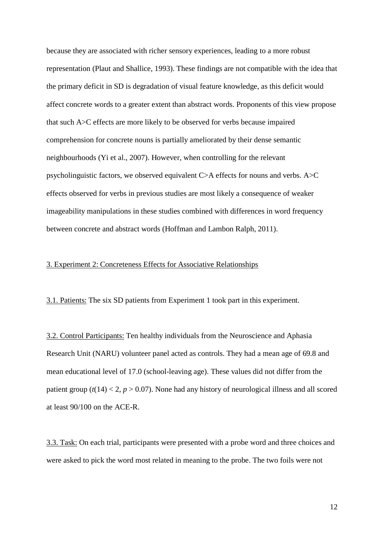because they are associated with richer sensory experiences, leading to a more robust representation (Plaut and Shallice, 1993). These findings are not compatible with the idea that the primary deficit in SD is degradation of visual feature knowledge, as this deficit would affect concrete words to a greater extent than abstract words. Proponents of this view propose that such A>C effects are more likely to be observed for verbs because impaired comprehension for concrete nouns is partially ameliorated by their dense semantic neighbourhoods (Yi et al., 2007). However, when controlling for the relevant psycholinguistic factors, we observed equivalent C>A effects for nouns and verbs. A>C effects observed for verbs in previous studies are most likely a consequence of weaker imageability manipulations in these studies combined with differences in word frequency between concrete and abstract words (Hoffman and Lambon Ralph, 2011).

### 3. Experiment 2: Concreteness Effects for Associative Relationships

3.1. Patients: The six SD patients from Experiment 1 took part in this experiment.

3.2. Control Participants: Ten healthy individuals from the Neuroscience and Aphasia Research Unit (NARU) volunteer panel acted as controls. They had a mean age of 69.8 and mean educational level of 17.0 (school-leaving age). These values did not differ from the patient group  $(t(14) < 2, p > 0.07)$ . None had any history of neurological illness and all scored at least 90/100 on the ACE-R.

3.3. Task: On each trial, participants were presented with a probe word and three choices and were asked to pick the word most related in meaning to the probe. The two foils were not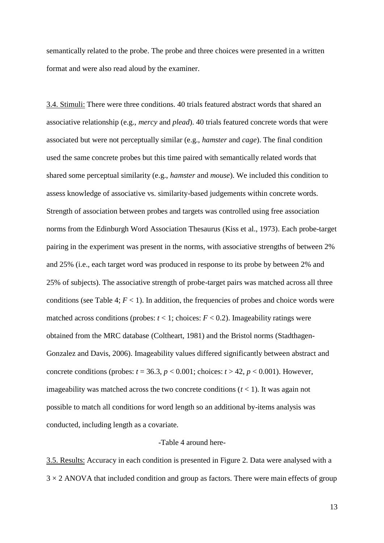semantically related to the probe. The probe and three choices were presented in a written format and were also read aloud by the examiner.

3.4. Stimuli: There were three conditions. 40 trials featured abstract words that shared an associative relationship (e.g., *mercy* and *plead*). 40 trials featured concrete words that were associated but were not perceptually similar (e.g., *hamster* and *cage*). The final condition used the same concrete probes but this time paired with semantically related words that shared some perceptual similarity (e.g., *hamster* and *mouse*). We included this condition to assess knowledge of associative vs. similarity-based judgements within concrete words. Strength of association between probes and targets was controlled using free association norms from the Edinburgh Word Association Thesaurus (Kiss et al., 1973). Each probe-target pairing in the experiment was present in the norms, with associative strengths of between 2% and 25% (i.e., each target word was produced in response to its probe by between 2% and 25% of subjects). The associative strength of probe-target pairs was matched across all three conditions (see Table 4;  $F < 1$ ). In addition, the frequencies of probes and choice words were matched across conditions (probes:  $t < 1$ ; choices:  $F < 0.2$ ). Imageability ratings were obtained from the MRC database (Coltheart, 1981) and the Bristol norms (Stadthagen-Gonzalez and Davis, 2006). Imageability values differed significantly between abstract and concrete conditions (probes:  $t = 36.3$ ,  $p < 0.001$ ; choices:  $t > 42$ ,  $p < 0.001$ ). However, imageability was matched across the two concrete conditions  $(t < 1)$ . It was again not possible to match all conditions for word length so an additional by-items analysis was conducted, including length as a covariate.

#### -Table 4 around here-

3.5. Results: Accuracy in each condition is presented in Figure 2. Data were analysed with a  $3 \times 2$  ANOVA that included condition and group as factors. There were main effects of group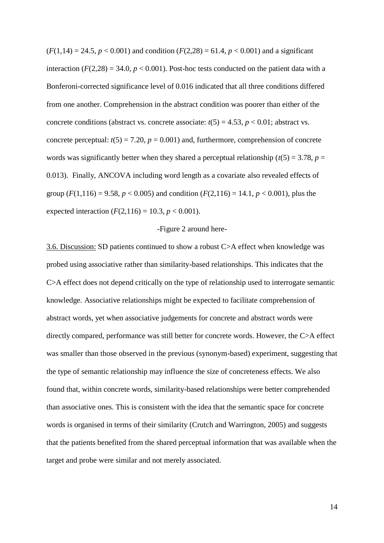$(F(1,14) = 24.5, p < 0.001)$  and condition  $(F(2,28) = 61.4, p < 0.001)$  and a significant interaction  $(F(2,28) = 34.0, p < 0.001)$ . Post-hoc tests conducted on the patient data with a Bonferoni-corrected significance level of 0.016 indicated that all three conditions differed from one another. Comprehension in the abstract condition was poorer than either of the concrete conditions (abstract vs. concrete associate:  $t(5) = 4.53$ ,  $p < 0.01$ ; abstract vs. concrete perceptual:  $t(5) = 7.20$ ,  $p = 0.001$ ) and, furthermore, comprehension of concrete words was significantly better when they shared a perceptual relationship ( $t(5) = 3.78$ ,  $p =$ 0.013). Finally, ANCOVA including word length as a covariate also revealed effects of group ( $F(1,116) = 9.58$ ,  $p < 0.005$ ) and condition ( $F(2,116) = 14.1$ ,  $p < 0.001$ ), plus the expected interaction  $(F(2,116) = 10.3, p < 0.001)$ .

#### -Figure 2 around here-

3.6. Discussion: SD patients continued to show a robust C>A effect when knowledge was probed using associative rather than similarity-based relationships. This indicates that the C>A effect does not depend critically on the type of relationship used to interrogate semantic knowledge. Associative relationships might be expected to facilitate comprehension of abstract words, yet when associative judgements for concrete and abstract words were directly compared, performance was still better for concrete words. However, the C>A effect was smaller than those observed in the previous (synonym-based) experiment, suggesting that the type of semantic relationship may influence the size of concreteness effects. We also found that, within concrete words, similarity-based relationships were better comprehended than associative ones. This is consistent with the idea that the semantic space for concrete words is organised in terms of their similarity (Crutch and Warrington, 2005) and suggests that the patients benefited from the shared perceptual information that was available when the target and probe were similar and not merely associated.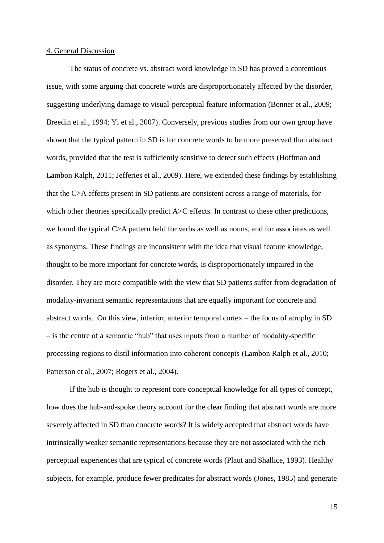#### 4. General Discussion

The status of concrete vs. abstract word knowledge in SD has proved a contentious issue, with some arguing that concrete words are disproportionately affected by the disorder, suggesting underlying damage to visual-perceptual feature information (Bonner et al., 2009; Breedin et al., 1994; Yi et al., 2007). Conversely, previous studies from our own group have shown that the typical pattern in SD is for concrete words to be more preserved than abstract words, provided that the test is sufficiently sensitive to detect such effects (Hoffman and Lambon Ralph, 2011; Jefferies et al., 2009). Here, we extended these findings by establishing that the C>A effects present in SD patients are consistent across a range of materials, for which other theories specifically predict A>C effects. In contrast to these other predictions, we found the typical C>A pattern held for verbs as well as nouns, and for associates as well as synonyms. These findings are inconsistent with the idea that visual feature knowledge, thought to be more important for concrete words, is disproportionately impaired in the disorder. They are more compatible with the view that SD patients suffer from degradation of modality-invariant semantic representations that are equally important for concrete and abstract words. On this view, inferior, anterior temporal cortex – the focus of atrophy in SD – is the centre of a semantic "hub" that uses inputs from a number of modality-specific processing regions to distil information into coherent concepts (Lambon Ralph et al., 2010; Patterson et al., 2007; Rogers et al., 2004).

If the hub is thought to represent core conceptual knowledge for all types of concept, how does the hub-and-spoke theory account for the clear finding that abstract words are more severely affected in SD than concrete words? It is widely accepted that abstract words have intrinsically weaker semantic representations because they are not associated with the rich perceptual experiences that are typical of concrete words (Plaut and Shallice, 1993). Healthy subjects, for example, produce fewer predicates for abstract words (Jones, 1985) and generate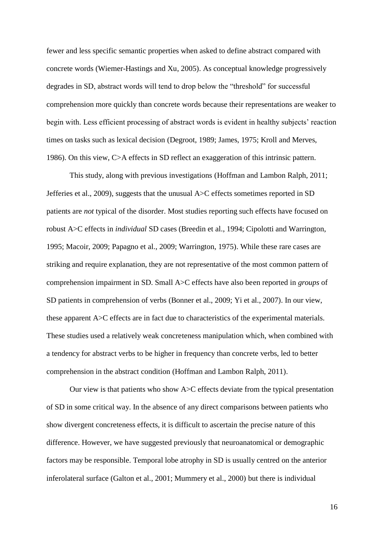fewer and less specific semantic properties when asked to define abstract compared with concrete words (Wiemer-Hastings and Xu, 2005). As conceptual knowledge progressively degrades in SD, abstract words will tend to drop below the "threshold" for successful comprehension more quickly than concrete words because their representations are weaker to begin with. Less efficient processing of abstract words is evident in healthy subjects' reaction times on tasks such as lexical decision (Degroot, 1989; James, 1975; Kroll and Merves, 1986). On this view, C>A effects in SD reflect an exaggeration of this intrinsic pattern.

This study, along with previous investigations (Hoffman and Lambon Ralph, 2011; Jefferies et al., 2009), suggests that the unusual A>C effects sometimes reported in SD patients are *not* typical of the disorder. Most studies reporting such effects have focused on robust A>C effects in *individual* SD cases (Breedin et al., 1994; Cipolotti and Warrington, 1995; Macoir, 2009; Papagno et al., 2009; Warrington, 1975). While these rare cases are striking and require explanation, they are not representative of the most common pattern of comprehension impairment in SD. Small A>C effects have also been reported in *groups* of SD patients in comprehension of verbs (Bonner et al., 2009; Yi et al., 2007). In our view, these apparent A>C effects are in fact due to characteristics of the experimental materials. These studies used a relatively weak concreteness manipulation which, when combined with a tendency for abstract verbs to be higher in frequency than concrete verbs, led to better comprehension in the abstract condition (Hoffman and Lambon Ralph, 2011).

Our view is that patients who show A>C effects deviate from the typical presentation of SD in some critical way. In the absence of any direct comparisons between patients who show divergent concreteness effects, it is difficult to ascertain the precise nature of this difference. However, we have suggested previously that neuroanatomical or demographic factors may be responsible. Temporal lobe atrophy in SD is usually centred on the anterior inferolateral surface (Galton et al., 2001; Mummery et al., 2000) but there is individual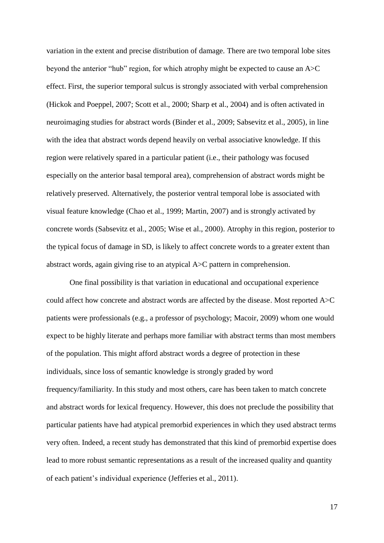variation in the extent and precise distribution of damage. There are two temporal lobe sites beyond the anterior "hub" region, for which atrophy might be expected to cause an A>C effect. First, the superior temporal sulcus is strongly associated with verbal comprehension (Hickok and Poeppel, 2007; Scott et al., 2000; Sharp et al., 2004) and is often activated in neuroimaging studies for abstract words (Binder et al., 2009; Sabsevitz et al., 2005), in line with the idea that abstract words depend heavily on verbal associative knowledge. If this region were relatively spared in a particular patient (i.e., their pathology was focused especially on the anterior basal temporal area), comprehension of abstract words might be relatively preserved. Alternatively, the posterior ventral temporal lobe is associated with visual feature knowledge (Chao et al., 1999; Martin, 2007) and is strongly activated by concrete words (Sabsevitz et al., 2005; Wise et al., 2000). Atrophy in this region, posterior to the typical focus of damage in SD, is likely to affect concrete words to a greater extent than abstract words, again giving rise to an atypical A>C pattern in comprehension.

One final possibility is that variation in educational and occupational experience could affect how concrete and abstract words are affected by the disease. Most reported A>C patients were professionals (e.g., a professor of psychology; Macoir, 2009) whom one would expect to be highly literate and perhaps more familiar with abstract terms than most members of the population. This might afford abstract words a degree of protection in these individuals, since loss of semantic knowledge is strongly graded by word frequency/familiarity. In this study and most others, care has been taken to match concrete and abstract words for lexical frequency. However, this does not preclude the possibility that particular patients have had atypical premorbid experiences in which they used abstract terms very often. Indeed, a recent study has demonstrated that this kind of premorbid expertise does lead to more robust semantic representations as a result of the increased quality and quantity of each patient's individual experience (Jefferies et al., 2011).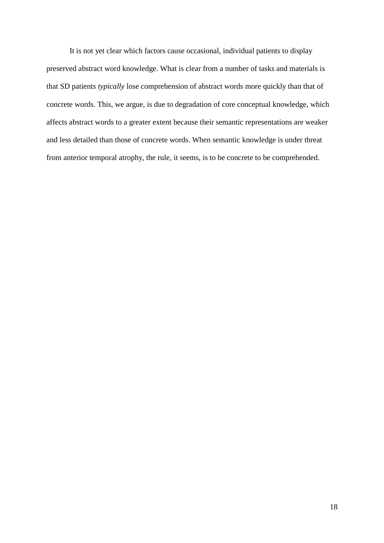It is not yet clear which factors cause occasional, individual patients to display preserved abstract word knowledge. What is clear from a number of tasks and materials is that SD patients *typically* lose comprehension of abstract words more quickly than that of concrete words. This, we argue, is due to degradation of core conceptual knowledge, which affects abstract words to a greater extent because their semantic representations are weaker and less detailed than those of concrete words. When semantic knowledge is under threat from anterior temporal atrophy, the rule, it seems, is to be concrete to be comprehended.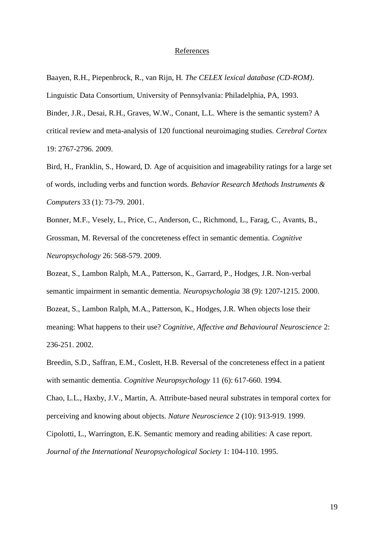#### References

Baayen, R.H., Piepenbrock, R., van Rijn, H. *The CELEX lexical database (CD-ROM)*.

Linguistic Data Consortium, University of Pennsylvania: Philadelphia, PA, 1993.

Binder, J.R., Desai, R.H., Graves, W.W., Conant, L.L. Where is the semantic system? A critical review and meta-analysis of 120 functional neuroimaging studies. *Cerebral Cortex* 19: 2767-2796. 2009.

Bird, H., Franklin, S., Howard, D. Age of acquisition and imageability ratings for a large set of words, including verbs and function words. *Behavior Research Methods Instruments & Computers* 33 (1): 73-79. 2001.

Bonner, M.F., Vesely, L., Price, C., Anderson, C., Richmond, L., Farag, C., Avants, B., Grossman, M. Reversal of the concreteness effect in semantic dementia. *Cognitive Neuropsychology* 26: 568-579. 2009.

Bozeat, S., Lambon Ralph, M.A., Patterson, K., Garrard, P., Hodges, J.R. Non-verbal semantic impairment in semantic dementia. *Neuropsychologia* 38 (9): 1207-1215. 2000. Bozeat, S., Lambon Ralph, M.A., Patterson, K., Hodges, J.R. When objects lose their meaning: What happens to their use? *Cognitive, Affective and Behavioural Neuroscience* 2: 236-251. 2002.

Breedin, S.D., Saffran, E.M., Coslett, H.B. Reversal of the concreteness effect in a patient with semantic dementia. *Cognitive Neuropsychology* 11 (6): 617-660. 1994.

Chao, L.L., Haxby, J.V., Martin, A. Attribute-based neural substrates in temporal cortex for perceiving and knowing about objects. *Nature Neuroscience* 2 (10): 913-919. 1999.

Cipolotti, L., Warrington, E.K. Semantic memory and reading abilities: A case report. *Journal of the International Neuropsychological Society* 1: 104-110. 1995.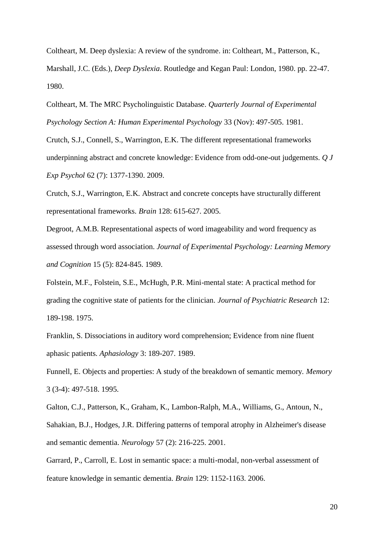Coltheart, M. Deep dyslexia: A review of the syndrome. in: Coltheart, M., Patterson, K., Marshall, J.C. (Eds.), *Deep Dyslexia*. Routledge and Kegan Paul: London, 1980. pp. 22-47. 1980.

Coltheart, M. The MRC Psycholinguistic Database. *Quarterly Journal of Experimental Psychology Section A: Human Experimental Psychology* 33 (Nov): 497-505. 1981.

Crutch, S.J., Connell, S., Warrington, E.K. The different representational frameworks underpinning abstract and concrete knowledge: Evidence from odd-one-out judgements. *Q J Exp Psychol* 62 (7): 1377-1390. 2009.

Crutch, S.J., Warrington, E.K. Abstract and concrete concepts have structurally different representational frameworks. *Brain* 128: 615-627. 2005.

Degroot, A.M.B. Representational aspects of word imageability and word frequency as assessed through word association. *Journal of Experimental Psychology: Learning Memory and Cognition* 15 (5): 824-845. 1989.

Folstein, M.F., Folstein, S.E., McHugh, P.R. Mini-mental state: A practical method for grading the cognitive state of patients for the clinician. *Journal of Psychiatric Research* 12: 189-198. 1975.

Franklin, S. Dissociations in auditory word comprehension; Evidence from nine fluent aphasic patients. *Aphasiology* 3: 189-207. 1989.

Funnell, E. Objects and properties: A study of the breakdown of semantic memory. *Memory* 3 (3-4): 497-518. 1995.

Galton, C.J., Patterson, K., Graham, K., Lambon-Ralph, M.A., Williams, G., Antoun, N., Sahakian, B.J., Hodges, J.R. Differing patterns of temporal atrophy in Alzheimer's disease and semantic dementia. *Neurology* 57 (2): 216-225. 2001.

Garrard, P., Carroll, E. Lost in semantic space: a multi-modal, non-verbal assessment of feature knowledge in semantic dementia. *Brain* 129: 1152-1163. 2006.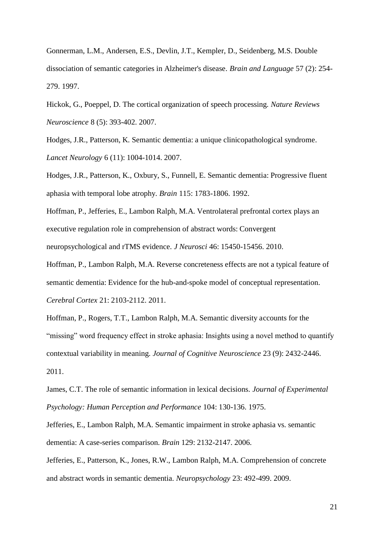Gonnerman, L.M., Andersen, E.S., Devlin, J.T., Kempler, D., Seidenberg, M.S. Double dissociation of semantic categories in Alzheimer's disease. *Brain and Language* 57 (2): 254- 279. 1997.

Hickok, G., Poeppel, D. The cortical organization of speech processing. *Nature Reviews Neuroscience* 8 (5): 393-402. 2007.

Hodges, J.R., Patterson, K. Semantic dementia: a unique clinicopathological syndrome. *Lancet Neurology* 6 (11): 1004-1014. 2007.

Hodges, J.R., Patterson, K., Oxbury, S., Funnell, E. Semantic dementia: Progressive fluent aphasia with temporal lobe atrophy. *Brain* 115: 1783-1806. 1992.

Hoffman, P., Jefferies, E., Lambon Ralph, M.A. Ventrolateral prefrontal cortex plays an executive regulation role in comprehension of abstract words: Convergent neuropsychological and rTMS evidence. *J Neurosci* 46: 15450-15456. 2010.

Hoffman, P., Lambon Ralph, M.A. Reverse concreteness effects are not a typical feature of semantic dementia: Evidence for the hub-and-spoke model of conceptual representation. *Cerebral Cortex* 21: 2103-2112. 2011.

Hoffman, P., Rogers, T.T., Lambon Ralph, M.A. Semantic diversity accounts for the "missing" word frequency effect in stroke aphasia: Insights using a novel method to quantify contextual variability in meaning. *Journal of Cognitive Neuroscience* 23 (9): 2432-2446. 2011.

James, C.T. The role of semantic information in lexical decisions. *Journal of Experimental Psychology: Human Perception and Performance* 104: 130-136. 1975.

Jefferies, E., Lambon Ralph, M.A. Semantic impairment in stroke aphasia vs. semantic dementia: A case-series comparison. *Brain* 129: 2132-2147. 2006.

Jefferies, E., Patterson, K., Jones, R.W., Lambon Ralph, M.A. Comprehension of concrete and abstract words in semantic dementia. *Neuropsychology* 23: 492-499. 2009.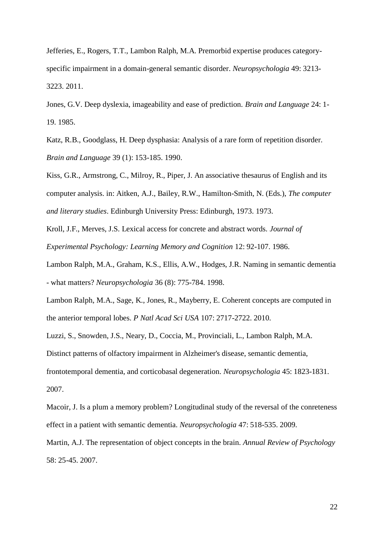Jefferies, E., Rogers, T.T., Lambon Ralph, M.A. Premorbid expertise produces categoryspecific impairment in a domain-general semantic disorder. *Neuropsychologia* 49: 3213- 3223. 2011.

Jones, G.V. Deep dyslexia, imageability and ease of prediction. *Brain and Language* 24: 1- 19. 1985.

Katz, R.B., Goodglass, H. Deep dysphasia: Analysis of a rare form of repetition disorder. *Brain and Language* 39 (1): 153-185. 1990.

Kiss, G.R., Armstrong, C., Milroy, R., Piper, J. An associative thesaurus of English and its computer analysis. in: Aitken, A.J., Bailey, R.W., Hamilton-Smith, N. (Eds.), *The computer and literary studies*. Edinburgh University Press: Edinburgh, 1973. 1973.

Kroll, J.F., Merves, J.S. Lexical access for concrete and abstract words. *Journal of Experimental Psychology: Learning Memory and Cognition* 12: 92-107. 1986.

Lambon Ralph, M.A., Graham, K.S., Ellis, A.W., Hodges, J.R. Naming in semantic dementia - what matters? *Neuropsychologia* 36 (8): 775-784. 1998.

Lambon Ralph, M.A., Sage, K., Jones, R., Mayberry, E. Coherent concepts are computed in the anterior temporal lobes. *P Natl Acad Sci USA* 107: 2717-2722. 2010.

Luzzi, S., Snowden, J.S., Neary, D., Coccia, M., Provinciali, L., Lambon Ralph, M.A. Distinct patterns of olfactory impairment in Alzheimer's disease, semantic dementia, frontotemporal dementia, and corticobasal degeneration. *Neuropsychologia* 45: 1823-1831. 2007.

Macoir, J. Is a plum a memory problem? Longitudinal study of the reversal of the conreteness effect in a patient with semantic dementia. *Neuropsychologia* 47: 518-535. 2009.

Martin, A.J. The representation of object concepts in the brain. *Annual Review of Psychology* 58: 25-45. 2007.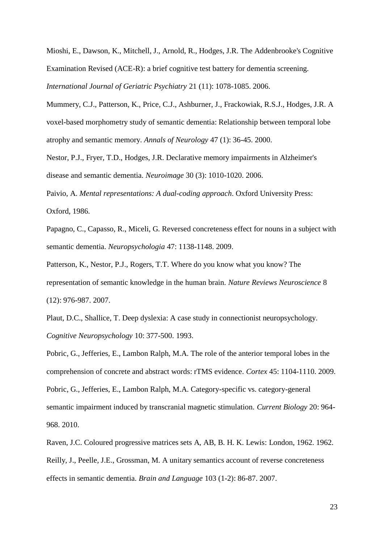Mioshi, E., Dawson, K., Mitchell, J., Arnold, R., Hodges, J.R. The Addenbrooke's Cognitive Examination Revised (ACE-R): a brief cognitive test battery for dementia screening. *International Journal of Geriatric Psychiatry* 21 (11): 1078-1085. 2006.

Mummery, C.J., Patterson, K., Price, C.J., Ashburner, J., Frackowiak, R.S.J., Hodges, J.R. A voxel-based morphometry study of semantic dementia: Relationship between temporal lobe atrophy and semantic memory. *Annals of Neurology* 47 (1): 36-45. 2000.

Nestor, P.J., Fryer, T.D., Hodges, J.R. Declarative memory impairments in Alzheimer's disease and semantic dementia. *Neuroimage* 30 (3): 1010-1020. 2006.

Paivio, A. *Mental representations: A dual-coding approach*. Oxford University Press: Oxford, 1986.

Papagno, C., Capasso, R., Miceli, G. Reversed concreteness effect for nouns in a subject with semantic dementia. *Neuropsychologia* 47: 1138-1148. 2009.

Patterson, K., Nestor, P.J., Rogers, T.T. Where do you know what you know? The representation of semantic knowledge in the human brain. *Nature Reviews Neuroscience* 8 (12): 976-987. 2007.

Plaut, D.C., Shallice, T. Deep dyslexia: A case study in connectionist neuropsychology. *Cognitive Neuropsychology* 10: 377-500. 1993.

Pobric, G., Jefferies, E., Lambon Ralph, M.A. The role of the anterior temporal lobes in the comprehension of concrete and abstract words: rTMS evidence. *Cortex* 45: 1104-1110. 2009. Pobric, G., Jefferies, E., Lambon Ralph, M.A. Category-specific vs. category-general semantic impairment induced by transcranial magnetic stimulation. *Current Biology* 20: 964- 968. 2010.

Raven, J.C. Coloured progressive matrices sets A, AB, B. H. K. Lewis: London, 1962. 1962. Reilly, J., Peelle, J.E., Grossman, M. A unitary semantics account of reverse concreteness effects in semantic dementia. *Brain and Language* 103 (1-2): 86-87. 2007.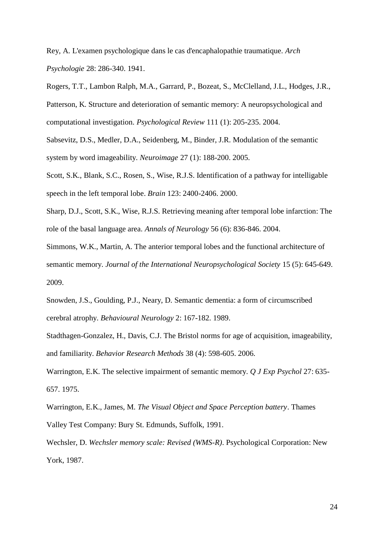Rey, A. L'examen psychologique dans le cas d'encaphalopathie traumatique. *Arch Psychologie* 28: 286-340. 1941.

Rogers, T.T., Lambon Ralph, M.A., Garrard, P., Bozeat, S., McClelland, J.L., Hodges, J.R., Patterson, K. Structure and deterioration of semantic memory: A neuropsychological and computational investigation. *Psychological Review* 111 (1): 205-235. 2004.

Sabsevitz, D.S., Medler, D.A., Seidenberg, M., Binder, J.R. Modulation of the semantic system by word imageability. *Neuroimage* 27 (1): 188-200. 2005.

Scott, S.K., Blank, S.C., Rosen, S., Wise, R.J.S. Identification of a pathway for intelligable speech in the left temporal lobe. *Brain* 123: 2400-2406. 2000.

Sharp, D.J., Scott, S.K., Wise, R.J.S. Retrieving meaning after temporal lobe infarction: The role of the basal language area. *Annals of Neurology* 56 (6): 836-846. 2004.

Simmons, W.K., Martin, A. The anterior temporal lobes and the functional architecture of semantic memory. *Journal of the International Neuropsychological Society* 15 (5): 645-649. 2009.

Snowden, J.S., Goulding, P.J., Neary, D. Semantic dementia: a form of circumscribed cerebral atrophy. *Behavioural Neurology* 2: 167-182. 1989.

Stadthagen-Gonzalez, H., Davis, C.J. The Bristol norms for age of acquisition, imageability, and familiarity. *Behavior Research Methods* 38 (4): 598-605. 2006.

Warrington, E.K. The selective impairment of semantic memory. *Q J Exp Psychol* 27: 635- 657. 1975.

Warrington, E.K., James, M. *The Visual Object and Space Perception battery*. Thames Valley Test Company: Bury St. Edmunds, Suffolk, 1991.

Wechsler, D. *Wechsler memory scale: Revised (WMS-R)*. Psychological Corporation: New York, 1987.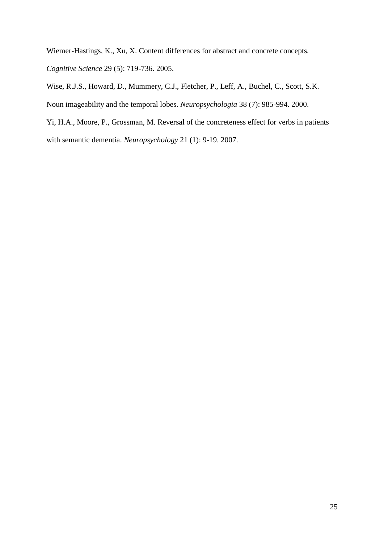Wiemer-Hastings, K., Xu, X. Content differences for abstract and concrete concepts. *Cognitive Science* 29 (5): 719-736. 2005.

Wise, R.J.S., Howard, D., Mummery, C.J., Fletcher, P., Leff, A., Buchel, C., Scott, S.K. Noun imageability and the temporal lobes. *Neuropsychologia* 38 (7): 985-994. 2000.

Yi, H.A., Moore, P., Grossman, M. Reversal of the concreteness effect for verbs in patients with semantic dementia. *Neuropsychology* 21 (1): 9-19. 2007.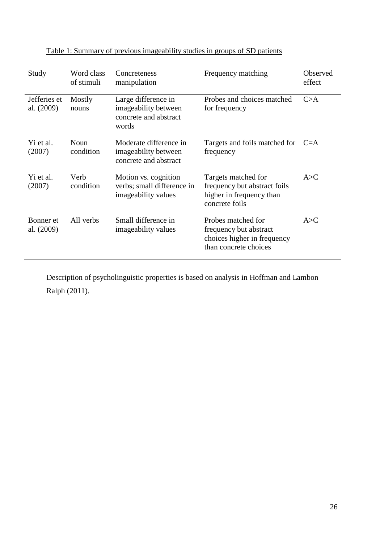| Study                      | Word class<br>of stimuli | Concreteness<br>manipulation                                                  | Frequency matching                                                                                   | Observed<br>effect |
|----------------------------|--------------------------|-------------------------------------------------------------------------------|------------------------------------------------------------------------------------------------------|--------------------|
| Jefferies et<br>al. (2009) | Mostly<br>nouns          | Large difference in<br>imageability between<br>concrete and abstract<br>words | Probes and choices matched<br>for frequency                                                          | C>A                |
| Yi et al.<br>(2007)        | Noun<br>condition        | Moderate difference in<br>imageability between<br>concrete and abstract       | Targets and foils matched for<br>frequency                                                           | $C = A$            |
| Yi et al.<br>(2007)        | Verb<br>condition        | Motion vs. cognition<br>verbs; small difference in<br>imageability values     | Targets matched for<br>frequency but abstract foils<br>higher in frequency than<br>concrete foils    | A > C              |
| Bonner et<br>al. (2009)    | All verbs                | Small difference in<br>imageability values                                    | Probes matched for<br>frequency but abstract<br>choices higher in frequency<br>than concrete choices | A > C              |

Table 1: Summary of previous imageability studies in groups of SD patients

Description of psycholinguistic properties is based on analysis in Hoffman and Lambon Ralph (2011).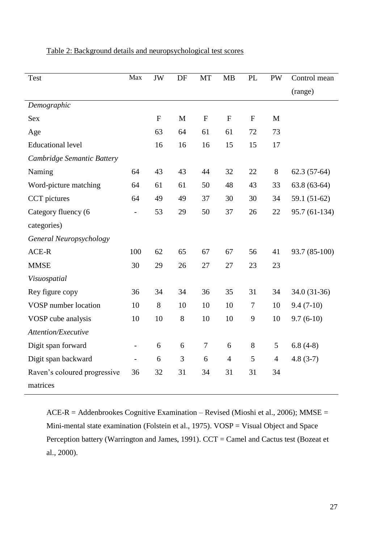| <b>Test</b>                  | Max                      | JW           | DF           | MT           | MB             | <b>PL</b>    | <b>PW</b>      | Control mean   |
|------------------------------|--------------------------|--------------|--------------|--------------|----------------|--------------|----------------|----------------|
|                              |                          |              |              |              |                |              |                | (range)        |
| Demographic                  |                          |              |              |              |                |              |                |                |
| <b>Sex</b>                   |                          | $\mathbf{F}$ | $\mathbf{M}$ | $\mathbf{F}$ | $\mathbf{F}$   | $\mathbf{F}$ | M              |                |
| Age                          |                          | 63           | 64           | 61           | 61             | 72           | 73             |                |
| <b>Educational level</b>     |                          | 16           | 16           | 16           | 15             | 15           | 17             |                |
| Cambridge Semantic Battery   |                          |              |              |              |                |              |                |                |
| Naming                       | 64                       | 43           | 43           | 44           | 32             | 22           | 8              | $62.3(57-64)$  |
| Word-picture matching        | 64                       | 61           | 61           | 50           | 48             | 43           | 33             | $63.8(63-64)$  |
| CCT pictures                 | 64                       | 49           | 49           | 37           | 30             | 30           | 34             | 59.1 $(51-62)$ |
| Category fluency (6          |                          | 53           | 29           | 50           | 37             | 26           | 22             | 95.7 (61-134)  |
| categories)                  |                          |              |              |              |                |              |                |                |
| General Neuropsychology      |                          |              |              |              |                |              |                |                |
| ACE-R                        | 100                      | 62           | 65           | 67           | 67             | 56           | 41             | 93.7 (85-100)  |
| <b>MMSE</b>                  | 30                       | 29           | 26           | 27           | 27             | 23           | 23             |                |
| Visuospatial                 |                          |              |              |              |                |              |                |                |
| Rey figure copy              | 36                       | 34           | 34           | 36           | 35             | 31           | 34             | 34.0 (31-36)   |
| VOSP number location         | 10                       | 8            | 10           | 10           | 10             | 7            | 10             | $9.4(7-10)$    |
| VOSP cube analysis           | 10                       | 10           | 8            | 10           | 10             | 9            | 10             | $9.7(6-10)$    |
| Attention/Executive          |                          |              |              |              |                |              |                |                |
| Digit span forward           | $\overline{\phantom{a}}$ | 6            | 6            | $\tau$       | 6              | $8\,$        | 5              | $6.8(4-8)$     |
| Digit span backward          |                          | 6            | 3            | 6            | $\overline{4}$ | 5            | $\overline{4}$ | $4.8(3-7)$     |
| Raven's coloured progressive | 36                       | 32           | 31           | 34           | 31             | 31           | 34             |                |
| matrices                     |                          |              |              |              |                |              |                |                |

## Table 2: Background details and neuropsychological test scores

ACE-R = Addenbrookes Cognitive Examination – Revised (Mioshi et al., 2006); MMSE = Mini-mental state examination (Folstein et al., 1975). VOSP = Visual Object and Space Perception battery (Warrington and James, 1991). CCT = Camel and Cactus test (Bozeat et al., 2000).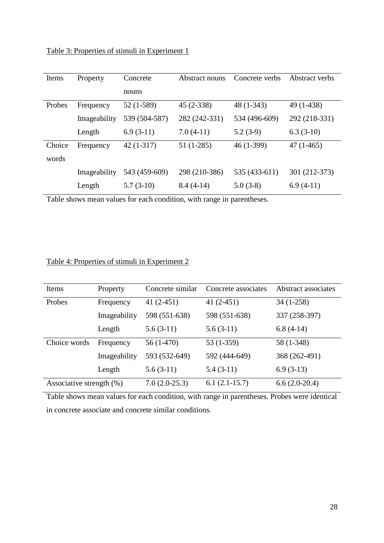Table 3: Properties of stimuli in Experiment 1

| Items  | Property     | Concrete      | Abstract nouns | Concrete verbs | Abstract verbs |
|--------|--------------|---------------|----------------|----------------|----------------|
|        |              | nouns         |                |                |                |
| Probes | Frequency    | 52 (1-589)    | $45(2-338)$    | $48(1-343)$    | 49 (1-438)     |
|        | Imageability | 539 (504-587) | 282 (242-331)  | 534 (496-609)  | 292 (218-331)  |
|        | Length       | $6.9(3-11)$   | $7.0(4-11)$    | $5.2(3-9)$     | $6.3(3-10)$    |
| Choice | Frequency    | $42(1-317)$   | $51(1-285)$    | $46(1-399)$    | $47(1-465)$    |
| words  |              |               |                |                |                |
|        | Imageability | 543 (459-609) | 298 (210-386)  | 535 (433-611)  | 301 (212-373)  |
|        | Length       | $5.7(3-10)$   | $8.4(4-14)$    | $5.0(3-8)$     | $6.9(4-11)$    |

Table shows mean values for each condition, with range in parentheses.

## Table 4: Properties of stimuli in Experiment 2

| Items                       | Property     | Concrete similar | Concrete associates | Abstract associates |
|-----------------------------|--------------|------------------|---------------------|---------------------|
| Probes                      | Frequency    | 41 $(2-451)$     | 41 $(2-451)$        | $34(1-258)$         |
|                             | Imageability | 598 (551-638)    | 598 (551-638)       | 337 (258-397)       |
|                             | Length       | $5.6(3-11)$      | $5.6(3-11)$         | $6.8(4-14)$         |
| Choice words                | Frequency    | $56(1-470)$      | 53 (1-359)          | 58 (1-348)          |
|                             | Imageability | 593 (532-649)    | 592 (444-649)       | 368 (262-491)       |
|                             | Length       | $5.6(3-11)$      | $5.4(3-11)$         | $6.9(3-13)$         |
| Associative strength $(\%)$ |              | $7.0(2.0-25.3)$  | $6.1(2.1-15.7)$     | $6.6(2.0-20.4)$     |

Table shows mean values for each condition, with range in parentheses. Probes were identical in concrete associate and concrete similar conditions.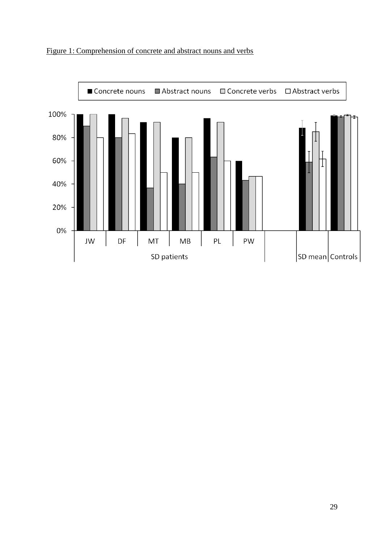

## Figure 1: Comprehension of concrete and abstract nouns and verbs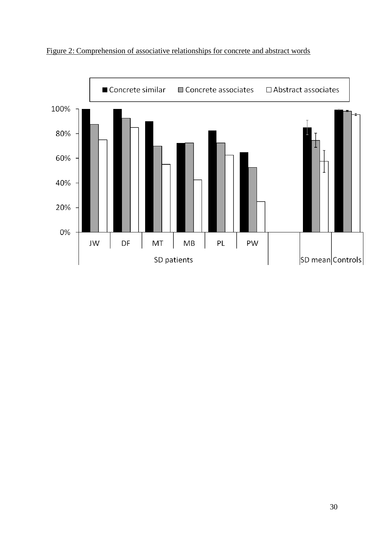

Figure 2: Comprehension of associative relationships for concrete and abstract words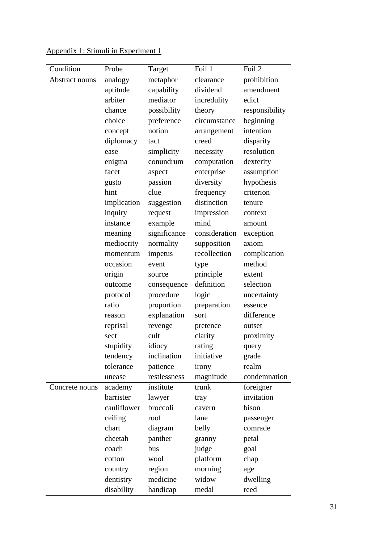| Condition      | Probe       | Target       | Foil 1        | Foil 2         |
|----------------|-------------|--------------|---------------|----------------|
| Abstract nouns | analogy     | metaphor     | clearance     | prohibition    |
|                | aptitude    | capability   | dividend      | amendment      |
|                | arbiter     | mediator     | incredulity   | edict          |
|                | chance      | possibility  | theory        | responsibility |
|                | choice      | preference   | circumstance  | beginning      |
|                | concept     | notion       | arrangement   | intention      |
|                | diplomacy   | tact         | creed         | disparity      |
|                | ease        | simplicity   | necessity     | resolution     |
|                | enigma      | conundrum    | computation   | dexterity      |
|                | facet       | aspect       | enterprise    | assumption     |
|                | gusto       | passion      | diversity     | hypothesis     |
|                | hint        | clue         | frequency     | criterion      |
|                | implication | suggestion   | distinction   | tenure         |
|                | inquiry     | request      | impression    | context        |
|                | instance    | example      | mind          | amount         |
|                | meaning     | significance | consideration | exception      |
|                | mediocrity  | normality    | supposition   | axiom          |
|                | momentum    | impetus      | recollection  | complication   |
|                | occasion    | event        | type          | method         |
|                | origin      | source       | principle     | extent         |
|                | outcome     | consequence  | definition    | selection      |
|                | protocol    | procedure    | logic         | uncertainty    |
|                | ratio       | proportion   | preparation   | essence        |
|                | reason      | explanation  | sort          | difference     |
|                | reprisal    | revenge      | pretence      | outset         |
|                | sect        | cult         | clarity       | proximity      |
|                | stupidity   | idiocy       | rating        | query          |
|                | tendency    | inclination  | initiative    | grade          |
|                | tolerance   | patience     | irony         | realm          |
|                | unease      | restlessness | magnitude     | condemnation   |
| Concrete nouns | academy     | institute    | trunk         | foreigner      |
|                | barrister   | lawyer       | tray          | invitation     |
|                | cauliflower | broccoli     | cavern        | bison          |
|                | ceiling     | roof         | lane          | passenger      |
|                | chart       | diagram      | belly         | comrade        |
|                | cheetah     | panther      | granny        | petal          |
|                | coach       | bus          | judge         | goal           |
|                | cotton      | wool         | platform      | chap           |
|                | country     | region       | morning       | age            |
|                | dentistry   | medicine     | widow         | dwelling       |
|                | disability  | handicap     | medal         | reed           |

Appendix 1: Stimuli in Experiment 1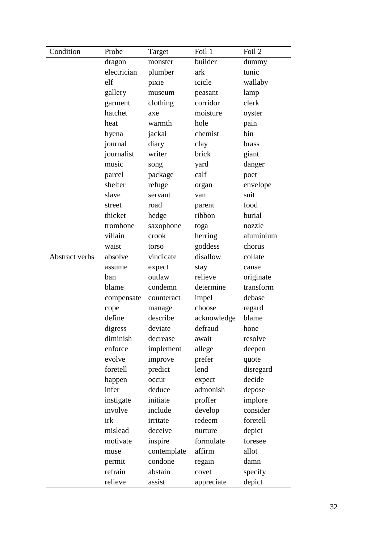| Condition             | Probe       | Target      | Foil 1      | Foil 2    |
|-----------------------|-------------|-------------|-------------|-----------|
|                       | dragon      | monster     | builder     | dummy     |
|                       | electrician | plumber     | ark         | tunic     |
|                       | elf         | pixie       | icicle      | wallaby   |
|                       | gallery     | museum      | peasant     | lamp      |
|                       | garment     | clothing    | corridor    | clerk     |
|                       | hatchet     | axe         | moisture    | oyster    |
|                       | heat        | warmth      | hole        | pain      |
|                       | hyena       | jackal      | chemist     | bin       |
|                       | journal     | diary       | clay        | brass     |
|                       | journalist  | writer      | brick       | giant     |
|                       | music       | song        | yard        | danger    |
|                       | parcel      | package     | calf        | poet      |
|                       | shelter     | refuge      | organ       | envelope  |
|                       | slave       | servant     | van         | suit      |
|                       | street      | road        | parent      | food      |
|                       | thicket     | hedge       | ribbon      | burial    |
|                       | trombone    | saxophone   | toga        | nozzle    |
|                       | villain     | crook       | herring     | aluminium |
|                       | waist       | torso       | goddess     | chorus    |
| <b>Abstract verbs</b> | absolve     | vindicate   | disallow    | collate   |
|                       | assume      | expect      | stay        | cause     |
|                       | ban         | outlaw      | relieve     | originate |
|                       | blame       | condemn     | determine   | transform |
|                       | compensate  | counteract  | impel       | debase    |
|                       | cope        | manage      | choose      | regard    |
|                       | define      | describe    | acknowledge | blame     |
|                       | digress     | deviate     | defraud     | hone      |
|                       | diminish    | decrease    | await       | resolve   |
|                       | enforce     | implement   | allege      | deepen    |
|                       | evolve      | improve     | prefer      | quote     |
|                       | foretell    | predict     | lend        | disregard |
|                       | happen      | occur       | expect      | decide    |
|                       | infer       | deduce      | admonish    | depose    |
|                       | instigate   | initiate    | proffer     | implore   |
|                       | involve     | include     | develop     | consider  |
|                       | irk         | irritate    | redeem      | foretell  |
|                       | mislead     | deceive     | nurture     | depict    |
|                       | motivate    | inspire     | formulate   | foresee   |
|                       | muse        | contemplate | affirm      | allot     |
|                       | permit      | condone     | regain      | damn      |
|                       | refrain     | abstain     | covet       | specify   |
|                       | relieve     | assist      | appreciate  | depict    |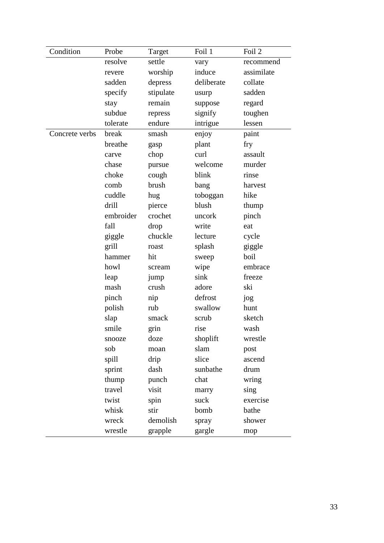| Condition      | Probe     | Target    | Foil 1     | Foil 2     |
|----------------|-----------|-----------|------------|------------|
|                | resolve   | settle    | vary       | recommend  |
|                | revere    | worship   | induce     | assimilate |
|                | sadden    | depress   | deliberate | collate    |
|                | specify   | stipulate | usurp      | sadden     |
|                | stay      | remain    | suppose    | regard     |
|                | subdue    | repress   | signify    | toughen    |
|                | tolerate  | endure    | intrigue   | lessen     |
| Concrete verbs | break     | smash     | enjoy      | paint      |
|                | breathe   | gasp      | plant      | fry        |
|                | carve     | chop      | curl       | assault    |
|                | chase     | pursue    | welcome    | murder     |
|                | choke     | cough     | blink      | rinse      |
|                | comb      | brush     | bang       | harvest    |
|                | cuddle    | hug       | toboggan   | hike       |
|                | drill     | pierce    | blush      | thump      |
|                | embroider | crochet   | uncork     | pinch      |
|                | fall      | drop      | write      | eat        |
|                | giggle    | chuckle   | lecture    | cycle      |
|                | grill     | roast     | splash     | giggle     |
|                | hammer    | hit       | sweep      | boil       |
|                | howl      | scream    | wipe       | embrace    |
|                | leap      | jump      | sink       | freeze     |
|                | mash      | crush     | adore      | ski        |
|                | pinch     | nip       | defrost    | jog        |
|                | polish    | rub       | swallow    | hunt       |
|                | slap      | smack     | scrub      | sketch     |
|                | smile     | grin      | rise       | wash       |
|                | snooze    | doze      | shoplift   | wrestle    |
|                | sob       | moan      | slam       | post       |
|                | spill     | drip      | slice      | ascend     |
|                | sprint    | dash      | sunbathe   | drum       |
|                | thump     | punch     | chat       | wring      |
|                | travel    | visit     | marry      | sing       |
|                | twist     | spin      | suck       | exercise   |
|                | whisk     | stir      | bomb       | bathe      |
|                | wreck     | demolish  | spray      | shower     |
|                | wrestle   | grapple   | gargle     | mop        |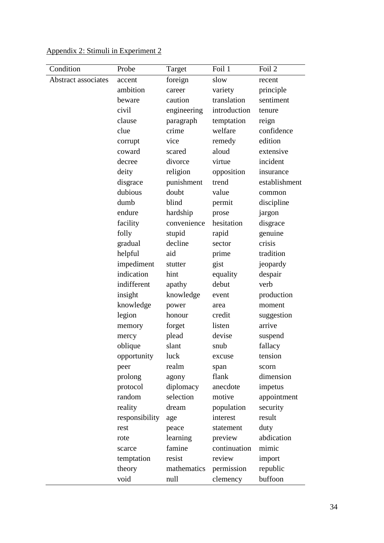| Condition           | Probe          | Target      | Foil 1       | Foil 2        |
|---------------------|----------------|-------------|--------------|---------------|
| Abstract associates | accent         | foreign     | slow         | recent        |
|                     | ambition       | career      | variety      | principle     |
|                     | beware         | caution     | translation  | sentiment     |
|                     | civil          | engineering | introduction | tenure        |
|                     | clause         | paragraph   | temptation   | reign         |
|                     | clue           | crime       | welfare      | confidence    |
|                     | corrupt        | vice        | remedy       | edition       |
|                     | coward         | scared      | aloud        | extensive     |
|                     | decree         | divorce     | virtue       | incident      |
|                     | deity          | religion    | opposition   | insurance     |
|                     | disgrace       | punishment  | trend        | establishment |
|                     | dubious        | doubt       | value        | common        |
|                     | dumb           | blind       | permit       | discipline    |
|                     | endure         | hardship    | prose        | jargon        |
|                     | facility       | convenience | hesitation   | disgrace      |
|                     | folly          | stupid      | rapid        | genuine       |
|                     | gradual        | decline     | sector       | crisis        |
|                     | helpful        | aid         | prime        | tradition     |
|                     | impediment     | stutter     | gist         | jeopardy      |
|                     | indication     | hint        | equality     | despair       |
|                     | indifferent    | apathy      | debut        | verb          |
|                     | insight        | knowledge   | event        | production    |
|                     | knowledge      | power       | area         | moment        |
|                     | legion         | honour      | credit       | suggestion    |
|                     | memory         | forget      | listen       | arrive        |
|                     | mercy          | plead       | devise       | suspend       |
|                     | oblique        | slant       | snub         | fallacy       |
|                     | opportunity    | luck        | excuse       | tension       |
|                     | peer           | realm       | span         | scorn         |
|                     | prolong        | agony       | flank        | dimension     |
|                     | protocol       | diplomacy   | anecdote     | impetus       |
|                     | random         | selection   | motive       | appointment   |
|                     | reality        | dream       | population   | security      |
|                     | responsibility | age         | interest     | result        |
|                     | rest           | peace       | statement    | duty          |
|                     | rote           | learning    | preview      | abdication    |
|                     | scarce         | famine      | continuation | mimic         |
|                     | temptation     | resist      | review       | import        |
|                     | theory         | mathematics | permission   | republic      |
|                     | void           | null        | clemency     | buffoon       |

## Appendix 2: Stimuli in Experiment 2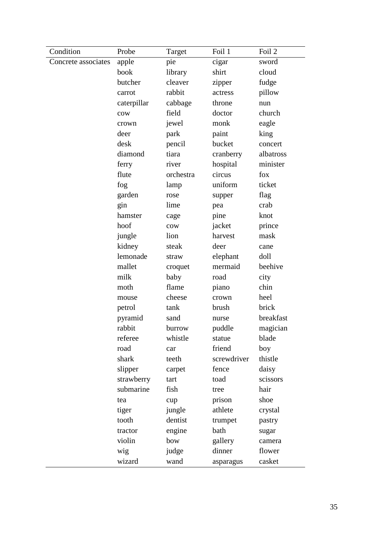| Condition           | Probe       | Target    | Foil 1      | Foil 2    |
|---------------------|-------------|-----------|-------------|-----------|
| Concrete associates | apple       | pie       | cigar       | sword     |
|                     | book        | library   | shirt       | cloud     |
|                     | butcher     | cleaver   | zipper      | fudge     |
|                     | carrot      | rabbit    | actress     | pillow    |
|                     | caterpillar | cabbage   | throne      | nun       |
|                     | cow         | field     | doctor      | church    |
|                     | crown       | jewel     | monk        | eagle     |
|                     | deer        | park      | paint       | king      |
|                     | desk        | pencil    | bucket      | concert   |
|                     | diamond     | tiara     | cranberry   | albatross |
|                     | ferry       | river     | hospital    | minister  |
|                     | flute       | orchestra | circus      | fox       |
|                     | fog         | lamp      | uniform     | ticket    |
|                     | garden      | rose      | supper      | flag      |
|                     | gin         | lime      | pea         | crab      |
|                     | hamster     | cage      | pine        | knot      |
|                     | hoof        | cow       | jacket      | prince    |
|                     | jungle      | lion      | harvest     | mask      |
|                     | kidney      | steak     | deer        | cane      |
|                     | lemonade    | straw     | elephant    | doll      |
|                     | mallet      | croquet   | mermaid     | beehive   |
|                     | milk        | baby      | road        | city      |
|                     | moth        | flame     | piano       | chin      |
|                     | mouse       | cheese    | crown       | heel      |
|                     | petrol      | tank      | brush       | brick     |
|                     | pyramid     | sand      | nurse       | breakfast |
|                     | rabbit      | burrow    | puddle      | magician  |
|                     | referee     | whistle   | statue      | blade     |
|                     | road        | car       | friend      | boy       |
|                     | shark       | teeth     | screwdriver | thistle   |
|                     | slipper     | carpet    | fence       | daisy     |
|                     | strawberry  | tart      | toad        | scissors  |
|                     | submarine   | fish      | tree        | hair      |
|                     | tea         | cup       | prison      | shoe      |
|                     | tiger       | jungle    | athlete     | crystal   |
|                     | tooth       | dentist   | trumpet     | pastry    |
|                     | tractor     | engine    | bath        | sugar     |
|                     | violin      | bow       | gallery     | camera    |
|                     | wig         | judge     | dinner      | flower    |
|                     | wizard      | wand      | asparagus   | casket    |